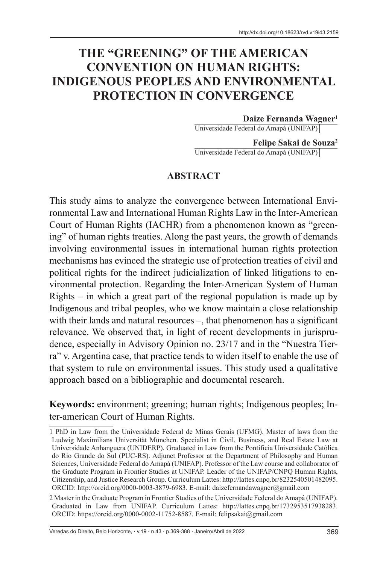# **THE "GREENING" OF THE AMERICAN CONVENTION ON HUMAN RIGHTS: INDIGENOUS PEOPLES AND ENVIRONMENTAL PROTECTION IN CONVERGENCE**

#### **Daize Fernanda Wagner1**

Universidade Federal do Amapá (UNIFAP)

**Felipe Sakai de Souza2** Universidade Federal do Amapá (UNIFAP)

#### **ABSTRACT**

This study aims to analyze the convergence between International Environmental Law and International Human Rights Law in the Inter-American Court of Human Rights (IACHR) from a phenomenon known as "greening" of human rights treaties. Along the past years, the growth of demands involving environmental issues in international human rights protection mechanisms has evinced the strategic use of protection treaties of civil and political rights for the indirect judicialization of linked litigations to environmental protection. Regarding the Inter-American System of Human Rights – in which a great part of the regional population is made up by Indigenous and tribal peoples, who we know maintain a close relationship with their lands and natural resources –, that phenomenon has a significant relevance. We observed that, in light of recent developments in jurisprudence, especially in Advisory Opinion no. 23/17 and in the "Nuestra Tierra" v. Argentina case, that practice tends to widen itself to enable the use of that system to rule on environmental issues. This study used a qualitative approach based on a bibliographic and documental research.

**Keywords:** environment; greening; human rights; Indigenous peoples; Inter-american Court of Human Rights.

Veredas do Direito, Belo Horizonte, · v.19 · n.43 · p.369-388 · Janeiro/Abril de 2022 369

<sup>1</sup> PhD in Law from the Universidade Federal de Minas Gerais (UFMG). Master of laws from the Ludwig Maximilians Universität München. Specialist in Civil, Business, and Real Estate Law at Universidade Anhanguera (UNIDERP). Graduated in Law from the Pontifícia Universidade Católica do Rio Grande do Sul (PUC-RS). Adjunct Professor at the Department of Philosophy and Human Sciences, Universidade Federal do Amapá (UNIFAP). Professor of the Law course and collaborator of the Graduate Program in Frontier Studies at UNIFAP. Leader of the UNIFAP/CNPQ Human Rights, Citizenship, and Justice Research Group. Curriculum Lattes: http://lattes.cnpq.br/8232540501482095. ORCID: http://orcid.org/0000-0003-3879-6983. E-mail: daizefernandawagner@gmail.com

<sup>2</sup> Master in the Graduate Program in Frontier Studies of the Universidade Federal do Amapá (UNIFAP). Graduated in Law from UNIFAP. Curriculum Lattes: http://lattes.cnpq.br/1732953517938283. ORCID: https://orcid.org/0000-0002-11752-8587. E-mail: felipsakai@gmail.com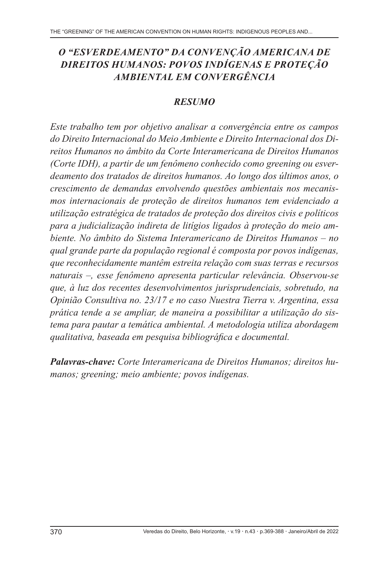## *O "ESVERDEAMENTO" DA CONVENÇÃO AMERICANA DE DIREITOS HUMANOS: POVOS INDÍGENAS E PROTEÇÃO AMBIENTAL EM CONVERGÊNCIA*

#### *RESUMO*

*Este trabalho tem por objetivo analisar a convergência entre os campos do Direito Internacional do Meio Ambiente e Direito Internacional dos Direitos Humanos no âmbito da Corte Interamericana de Direitos Humanos (Corte IDH), a partir de um fenômeno conhecido como greening ou esverdeamento dos tratados de direitos humanos. Ao longo dos últimos anos, o crescimento de demandas envolvendo questões ambientais nos mecanismos internacionais de proteção de direitos humanos tem evidenciado a utilização estratégica de tratados de proteção dos direitos civis e políticos para a judicialização indireta de litígios ligados à proteção do meio ambiente. No âmbito do Sistema Interamericano de Direitos Humanos – no qual grande parte da população regional é composta por povos indígenas, que reconhecidamente mantêm estreita relação com suas terras e recursos naturais –, esse fenômeno apresenta particular relevância. Observou-se que, à luz dos recentes desenvolvimentos jurisprudenciais, sobretudo, na Opinião Consultiva no. 23/17 e no caso Nuestra Tierra v. Argentina, essa prática tende a se ampliar, de maneira a possibilitar a utilização do sistema para pautar a temática ambiental. A metodologia utiliza abordagem qualitativa, baseada em pesquisa bibliográfica e documental.*

*Palavras-chave: Corte Interamericana de Direitos Humanos; direitos humanos; greening; meio ambiente; povos indígenas.*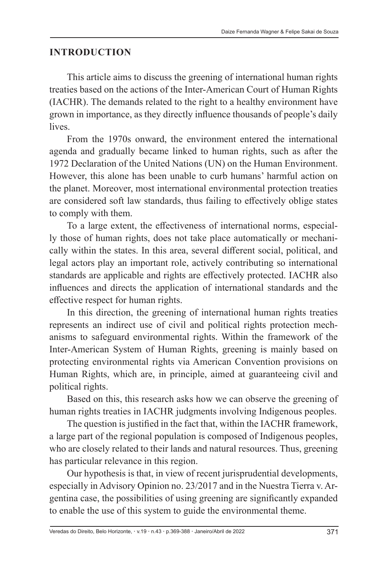#### **INTRODUCTION**

This article aims to discuss the greening of international human rights treaties based on the actions of the Inter-American Court of Human Rights (IACHR). The demands related to the right to a healthy environment have grown in importance, as they directly influence thousands of people's daily lives.

From the 1970s onward, the environment entered the international agenda and gradually became linked to human rights, such as after the 1972 Declaration of the United Nations (UN) on the Human Environment. However, this alone has been unable to curb humans' harmful action on the planet. Moreover, most international environmental protection treaties are considered soft law standards, thus failing to effectively oblige states to comply with them.

To a large extent, the effectiveness of international norms, especially those of human rights, does not take place automatically or mechanically within the states. In this area, several different social, political, and legal actors play an important role, actively contributing so international standards are applicable and rights are effectively protected. IACHR also influences and directs the application of international standards and the effective respect for human rights.

In this direction, the greening of international human rights treaties represents an indirect use of civil and political rights protection mechanisms to safeguard environmental rights. Within the framework of the Inter-American System of Human Rights, greening is mainly based on protecting environmental rights via American Convention provisions on Human Rights, which are, in principle, aimed at guaranteeing civil and political rights.

Based on this, this research asks how we can observe the greening of human rights treaties in IACHR judgments involving Indigenous peoples.

The question is justified in the fact that, within the IACHR framework, a large part of the regional population is composed of Indigenous peoples, who are closely related to their lands and natural resources. Thus, greening has particular relevance in this region.

Our hypothesis is that, in view of recent jurisprudential developments, especially in Advisory Opinion no. 23/2017 and in the Nuestra Tierra v. Argentina case, the possibilities of using greening are significantly expanded to enable the use of this system to guide the environmental theme.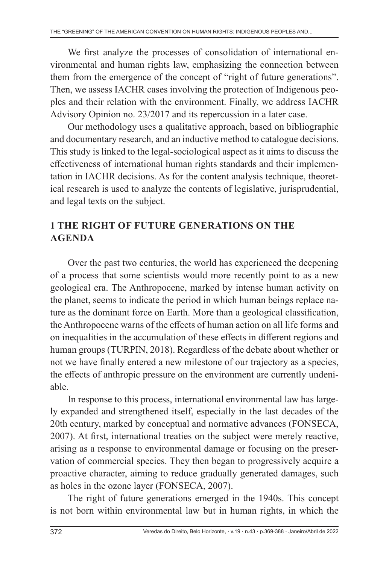We first analyze the processes of consolidation of international environmental and human rights law, emphasizing the connection between them from the emergence of the concept of "right of future generations". Then, we assess IACHR cases involving the protection of Indigenous peoples and their relation with the environment. Finally, we address IACHR Advisory Opinion no. 23/2017 and its repercussion in a later case.

Our methodology uses a qualitative approach, based on bibliographic and documentary research, and an inductive method to catalogue decisions. This study is linked to the legal-sociological aspect as it aims to discuss the effectiveness of international human rights standards and their implementation in IACHR decisions. As for the content analysis technique, theoretical research is used to analyze the contents of legislative, jurisprudential, and legal texts on the subject.

### **1 THE RIGHT OF FUTURE GENERATIONS ON THE AGENDA**

Over the past two centuries, the world has experienced the deepening of a process that some scientists would more recently point to as a new geological era. The Anthropocene, marked by intense human activity on the planet, seems to indicate the period in which human beings replace nature as the dominant force on Earth. More than a geological classification, the Anthropocene warns of the effects of human action on all life forms and on inequalities in the accumulation of these effects in different regions and human groups (TURPIN, 2018). Regardless of the debate about whether or not we have finally entered a new milestone of our trajectory as a species, the effects of anthropic pressure on the environment are currently undeniable.

In response to this process, international environmental law has largely expanded and strengthened itself, especially in the last decades of the 20th century, marked by conceptual and normative advances (FONSECA, 2007). At first, international treaties on the subject were merely reactive, arising as a response to environmental damage or focusing on the preservation of commercial species. They then began to progressively acquire a proactive character, aiming to reduce gradually generated damages, such as holes in the ozone layer (FONSECA, 2007).

The right of future generations emerged in the 1940s. This concept is not born within environmental law but in human rights, in which the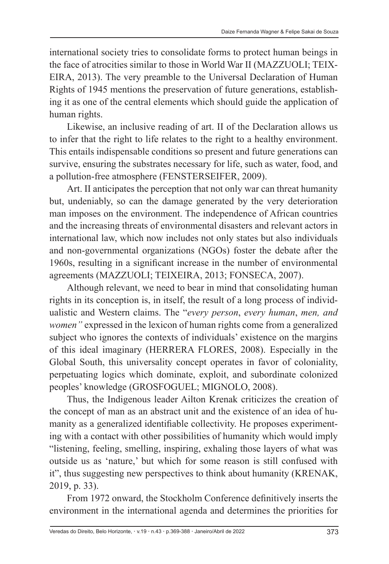international society tries to consolidate forms to protect human beings in the face of atrocities similar to those in World War II (MAZZUOLI; TEIX-EIRA, 2013). The very preamble to the Universal Declaration of Human Rights of 1945 mentions the preservation of future generations, establishing it as one of the central elements which should guide the application of human rights.

Likewise, an inclusive reading of art. II of the Declaration allows us to infer that the right to life relates to the right to a healthy environment. This entails indispensable conditions so present and future generations can survive, ensuring the substrates necessary for life, such as water, food, and a pollution-free atmosphere (FENSTERSEIFER, 2009).

Art. II anticipates the perception that not only war can threat humanity but, undeniably, so can the damage generated by the very deterioration man imposes on the environment. The independence of African countries and the increasing threats of environmental disasters and relevant actors in international law, which now includes not only states but also individuals and non-governmental organizations (NGOs) foster the debate after the 1960s, resulting in a significant increase in the number of environmental agreements (MAZZUOLI; TEIXEIRA, 2013; FONSECA, 2007).

Although relevant, we need to bear in mind that consolidating human rights in its conception is, in itself, the result of a long process of individualistic and Western claims. The "*every person*, *every human*, *men, and women"* expressed in the lexicon of human rights come from a generalized subject who ignores the contexts of individuals' existence on the margins of this ideal imaginary (HERRERA FLORES, 2008). Especially in the Global South, this universality concept operates in favor of coloniality, perpetuating logics which dominate, exploit, and subordinate colonized peoples' knowledge (GROSFOGUEL; MIGNOLO, 2008).

Thus, the Indigenous leader Ailton Krenak criticizes the creation of the concept of man as an abstract unit and the existence of an idea of humanity as a generalized identifiable collectivity. He proposes experimenting with a contact with other possibilities of humanity which would imply "listening, feeling, smelling, inspiring, exhaling those layers of what was outside us as 'nature,' but which for some reason is still confused with it", thus suggesting new perspectives to think about humanity (KRENAK, 2019, p. 33).

From 1972 onward, the Stockholm Conference definitively inserts the environment in the international agenda and determines the priorities for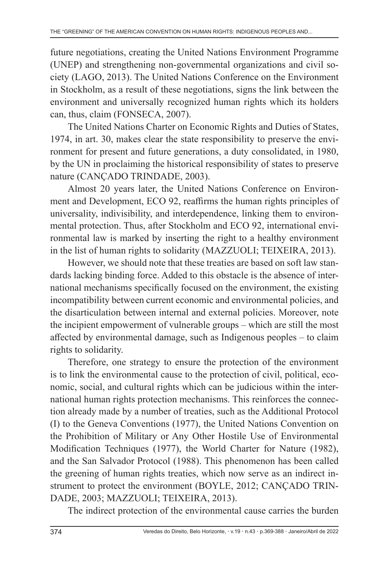future negotiations, creating the United Nations Environment Programme (UNEP) and strengthening non-governmental organizations and civil society (LAGO, 2013). The United Nations Conference on the Environment in Stockholm, as a result of these negotiations, signs the link between the environment and universally recognized human rights which its holders can, thus, claim (FONSECA, 2007).

The United Nations Charter on Economic Rights and Duties of States, 1974, in art. 30, makes clear the state responsibility to preserve the environment for present and future generations, a duty consolidated, in 1980, by the UN in proclaiming the historical responsibility of states to preserve nature (CANÇADO TRINDADE, 2003).

Almost 20 years later, the United Nations Conference on Environment and Development, ECO 92, reaffirms the human rights principles of universality, indivisibility, and interdependence, linking them to environmental protection. Thus, after Stockholm and ECO 92, international environmental law is marked by inserting the right to a healthy environment in the list of human rights to solidarity (MAZZUOLI; TEIXEIRA, 2013).

However, we should note that these treaties are based on soft law standards lacking binding force. Added to this obstacle is the absence of international mechanisms specifically focused on the environment, the existing incompatibility between current economic and environmental policies, and the disarticulation between internal and external policies. Moreover, note the incipient empowerment of vulnerable groups – which are still the most affected by environmental damage, such as Indigenous peoples – to claim rights to solidarity.

Therefore, one strategy to ensure the protection of the environment is to link the environmental cause to the protection of civil, political, economic, social, and cultural rights which can be judicious within the international human rights protection mechanisms. This reinforces the connection already made by a number of treaties, such as the Additional Protocol (I) to the Geneva Conventions (1977), the United Nations Convention on the Prohibition of Military or Any Other Hostile Use of Environmental Modification Techniques (1977), the World Charter for Nature (1982), and the San Salvador Protocol (1988). This phenomenon has been called the greening of human rights treaties, which now serve as an indirect instrument to protect the environment (BOYLE, 2012; CANÇADO TRIN-DADE, 2003; MAZZUOLI; TEIXEIRA, 2013).

The indirect protection of the environmental cause carries the burden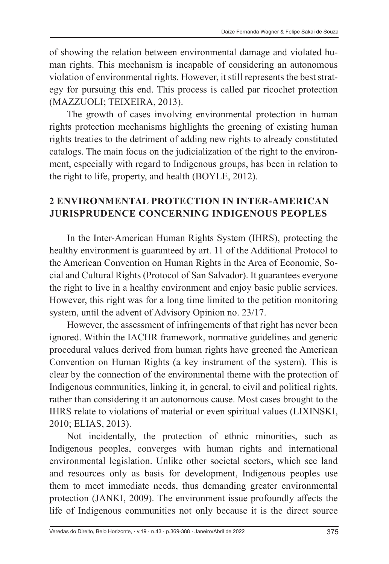of showing the relation between environmental damage and violated human rights. This mechanism is incapable of considering an autonomous violation of environmental rights. However, it still represents the best strategy for pursuing this end. This process is called par ricochet protection (MAZZUOLI; TEIXEIRA, 2013).

The growth of cases involving environmental protection in human rights protection mechanisms highlights the greening of existing human rights treaties to the detriment of adding new rights to already constituted catalogs. The main focus on the judicialization of the right to the environment, especially with regard to Indigenous groups, has been in relation to the right to life, property, and health (BOYLE, 2012).

### **2 ENVIRONMENTAL PROTECTION IN INTER-AMERICAN JURISPRUDENCE CONCERNING INDIGENOUS PEOPLES**

In the Inter-American Human Rights System (IHRS), protecting the healthy environment is guaranteed by art. 11 of the Additional Protocol to the American Convention on Human Rights in the Area of Economic, Social and Cultural Rights (Protocol of San Salvador). It guarantees everyone the right to live in a healthy environment and enjoy basic public services. However, this right was for a long time limited to the petition monitoring system, until the advent of Advisory Opinion no. 23/17.

However, the assessment of infringements of that right has never been ignored. Within the IACHR framework, normative guidelines and generic procedural values derived from human rights have greened the American Convention on Human Rights (a key instrument of the system). This is clear by the connection of the environmental theme with the protection of Indigenous communities, linking it, in general, to civil and political rights, rather than considering it an autonomous cause. Most cases brought to the IHRS relate to violations of material or even spiritual values (LIXINSKI, 2010; ELIAS, 2013).

Not incidentally, the protection of ethnic minorities, such as Indigenous peoples, converges with human rights and international environmental legislation. Unlike other societal sectors, which see land and resources only as basis for development, Indigenous peoples use them to meet immediate needs, thus demanding greater environmental protection (JANKI, 2009). The environment issue profoundly affects the life of Indigenous communities not only because it is the direct source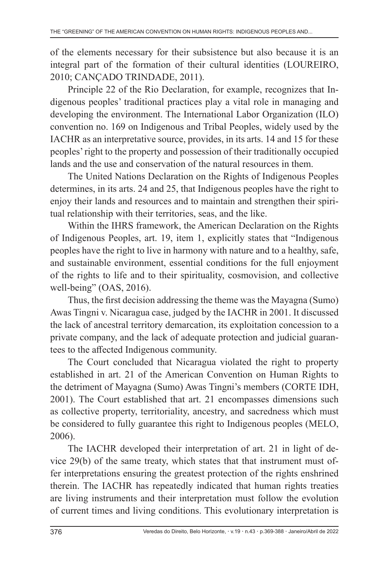of the elements necessary for their subsistence but also because it is an integral part of the formation of their cultural identities (LOUREIRO, 2010; CANÇADO TRINDADE, 2011).

Principle 22 of the Rio Declaration, for example, recognizes that Indigenous peoples' traditional practices play a vital role in managing and developing the environment. The International Labor Organization (ILO) convention no. 169 on Indigenous and Tribal Peoples, widely used by the IACHR as an interpretative source, provides, in its arts. 14 and 15 for these peoples' right to the property and possession of their traditionally occupied lands and the use and conservation of the natural resources in them.

The United Nations Declaration on the Rights of Indigenous Peoples determines, in its arts. 24 and 25, that Indigenous peoples have the right to enjoy their lands and resources and to maintain and strengthen their spiritual relationship with their territories, seas, and the like.

Within the IHRS framework, the American Declaration on the Rights of Indigenous Peoples, art. 19, item 1, explicitly states that "Indigenous peoples have the right to live in harmony with nature and to a healthy, safe, and sustainable environment, essential conditions for the full enjoyment of the rights to life and to their spirituality, cosmovision, and collective well-being" (OAS, 2016).

Thus, the first decision addressing the theme was the Mayagna (Sumo) Awas Tingni v. Nicaragua case, judged by the IACHR in 2001. It discussed the lack of ancestral territory demarcation, its exploitation concession to a private company, and the lack of adequate protection and judicial guarantees to the affected Indigenous community.

The Court concluded that Nicaragua violated the right to property established in art. 21 of the American Convention on Human Rights to the detriment of Mayagna (Sumo) Awas Tingni's members (CORTE IDH, 2001). The Court established that art. 21 encompasses dimensions such as collective property, territoriality, ancestry, and sacredness which must be considered to fully guarantee this right to Indigenous peoples (MELO, 2006).

The IACHR developed their interpretation of art. 21 in light of device 29(b) of the same treaty, which states that that instrument must offer interpretations ensuring the greatest protection of the rights enshrined therein. The IACHR has repeatedly indicated that human rights treaties are living instruments and their interpretation must follow the evolution of current times and living conditions. This evolutionary interpretation is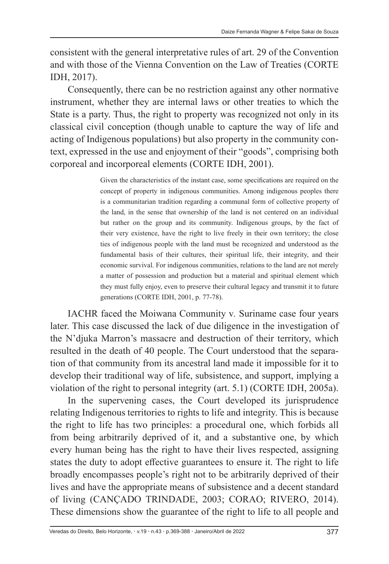consistent with the general interpretative rules of art. 29 of the Convention and with those of the Vienna Convention on the Law of Treaties (CORTE IDH, 2017).

Consequently, there can be no restriction against any other normative instrument, whether they are internal laws or other treaties to which the State is a party. Thus, the right to property was recognized not only in its classical civil conception (though unable to capture the way of life and acting of Indigenous populations) but also property in the community context, expressed in the use and enjoyment of their "goods", comprising both corporeal and incorporeal elements (CORTE IDH, 2001).

> Given the characteristics of the instant case, some specifications are required on the concept of property in indigenous communities. Among indigenous peoples there is a communitarian tradition regarding a communal form of collective property of the land, in the sense that ownership of the land is not centered on an individual but rather on the group and its community. Indigenous groups, by the fact of their very existence, have the right to live freely in their own territory; the close ties of indigenous people with the land must be recognized and understood as the fundamental basis of their cultures, their spiritual life, their integrity, and their economic survival. For indigenous communities, relations to the land are not merely a matter of possession and production but a material and spiritual element which they must fully enjoy, even to preserve their cultural legacy and transmit it to future generations (CORTE IDH, 2001, p. 77-78).

IACHR faced the Moiwana Community v*.* Suriname case four years later. This case discussed the lack of due diligence in the investigation of the N'djuka Marron's massacre and destruction of their territory, which resulted in the death of 40 people. The Court understood that the separation of that community from its ancestral land made it impossible for it to develop their traditional way of life, subsistence, and support, implying a violation of the right to personal integrity (art. 5.1) (CORTE IDH, 2005a).

In the supervening cases, the Court developed its jurisprudence relating Indigenous territories to rights to life and integrity. This is because the right to life has two principles: a procedural one, which forbids all from being arbitrarily deprived of it, and a substantive one, by which every human being has the right to have their lives respected, assigning states the duty to adopt effective guarantees to ensure it. The right to life broadly encompasses people's right not to be arbitrarily deprived of their lives and have the appropriate means of subsistence and a decent standard of living (CANÇADO TRINDADE, 2003; CORAO; RIVERO, 2014). These dimensions show the guarantee of the right to life to all people and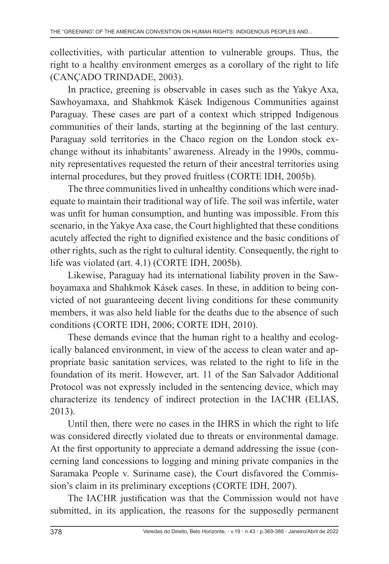collectivities, with particular attention to vulnerable groups. Thus, the right to a healthy environment emerges as a corollary of the right to life (CANÇADO TRINDADE, 2003).

In practice, greening is observable in cases such as the Yakye Axa, Sawhoyamaxa, and Shahkmok Kásek Indigenous Communities against Paraguay. These cases are part of a context which stripped Indigenous communities of their lands, starting at the beginning of the last century. Paraguay sold territories in the Chaco region on the London stock exchange without its inhabitants' awareness. Already in the 1990s, community representatives requested the return of their ancestral territories using internal procedures, but they proved fruitless (CORTE IDH, 2005b).

The three communities lived in unhealthy conditions which were inadequate to maintain their traditional way of life. The soil was infertile, water was unfit for human consumption, and hunting was impossible. From this scenario, in the Yakye Axa case, the Court highlighted that these conditions acutely affected the right to dignified existence and the basic conditions of other rights, such as the right to cultural identity. Consequently, the right to life was violated (art. 4.1) (CORTE IDH, 2005b).

Likewise, Paraguay had its international liability proven in the Sawhoyamaxa and Shahkmok Kásek cases. In these, in addition to being convicted of not guaranteeing decent living conditions for these community members, it was also held liable for the deaths due to the absence of such conditions (CORTE IDH, 2006; CORTE IDH, 2010).

These demands evince that the human right to a healthy and ecologically balanced environment, in view of the access to clean water and appropriate basic sanitation services, was related to the right to life in the foundation of its merit. However, art. 11 of the San Salvador Additional Protocol was not expressly included in the sentencing device, which may characterize its tendency of indirect protection in the IACHR (ELIAS, 2013).

Until then, there were no cases in the IHRS in which the right to life was considered directly violated due to threats or environmental damage. At the first opportunity to appreciate a demand addressing the issue (concerning land concessions to logging and mining private companies in the Saramaka People v. Suriname case), the Court disfavored the Commission's claim in its preliminary exceptions (CORTE IDH, 2007).

The IACHR justification was that the Commission would not have submitted, in its application, the reasons for the supposedly permanent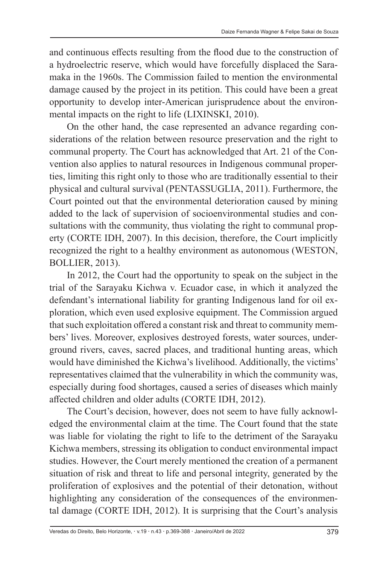and continuous effects resulting from the flood due to the construction of a hydroelectric reserve, which would have forcefully displaced the Saramaka in the 1960s. The Commission failed to mention the environmental damage caused by the project in its petition. This could have been a great opportunity to develop inter-American jurisprudence about the environmental impacts on the right to life (LIXINSKI, 2010).

On the other hand, the case represented an advance regarding considerations of the relation between resource preservation and the right to communal property. The Court has acknowledged that Art. 21 of the Convention also applies to natural resources in Indigenous communal properties, limiting this right only to those who are traditionally essential to their physical and cultural survival (PENTASSUGLIA, 2011). Furthermore, the Court pointed out that the environmental deterioration caused by mining added to the lack of supervision of socioenvironmental studies and consultations with the community, thus violating the right to communal property (CORTE IDH, 2007). In this decision, therefore, the Court implicitly recognized the right to a healthy environment as autonomous (WESTON, BOLLIER, 2013).

In 2012, the Court had the opportunity to speak on the subject in the trial of the Sarayaku Kichwa v. Ecuador case, in which it analyzed the defendant's international liability for granting Indigenous land for oil exploration, which even used explosive equipment. The Commission argued that such exploitation offered a constant risk and threat to community members' lives. Moreover, explosives destroyed forests, water sources, underground rivers, caves, sacred places, and traditional hunting areas, which would have diminished the Kichwa's livelihood. Additionally, the victims' representatives claimed that the vulnerability in which the community was, especially during food shortages, caused a series of diseases which mainly affected children and older adults (CORTE IDH, 2012).

The Court's decision, however, does not seem to have fully acknowledged the environmental claim at the time. The Court found that the state was liable for violating the right to life to the detriment of the Sarayaku Kichwa members, stressing its obligation to conduct environmental impact studies. However, the Court merely mentioned the creation of a permanent situation of risk and threat to life and personal integrity, generated by the proliferation of explosives and the potential of their detonation, without highlighting any consideration of the consequences of the environmental damage (CORTE IDH, 2012). It is surprising that the Court's analysis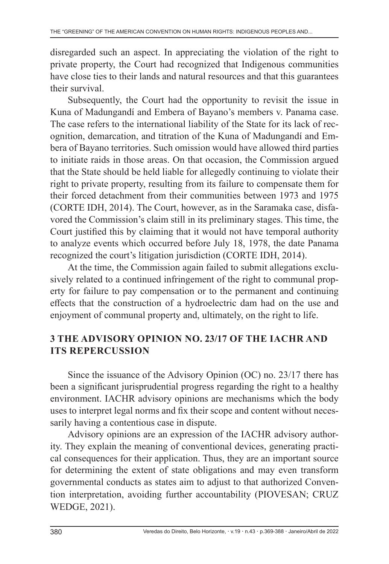disregarded such an aspect. In appreciating the violation of the right to private property, the Court had recognized that Indigenous communities have close ties to their lands and natural resources and that this guarantees their survival.

Subsequently, the Court had the opportunity to revisit the issue in Kuna of Madungandí and Embera of Bayano's members v. Panama case. The case refers to the international liability of the State for its lack of recognition, demarcation, and titration of the Kuna of Madungandí and Embera of Bayano territories. Such omission would have allowed third parties to initiate raids in those areas. On that occasion, the Commission argued that the State should be held liable for allegedly continuing to violate their right to private property, resulting from its failure to compensate them for their forced detachment from their communities between 1973 and 1975 (CORTE IDH, 2014). The Court, however, as in the Saramaka case, disfavored the Commission's claim still in its preliminary stages. This time, the Court justified this by claiming that it would not have temporal authority to analyze events which occurred before July 18, 1978, the date Panama recognized the court's litigation jurisdiction (CORTE IDH, 2014).

At the time, the Commission again failed to submit allegations exclusively related to a continued infringement of the right to communal property for failure to pay compensation or to the permanent and continuing effects that the construction of a hydroelectric dam had on the use and enjoyment of communal property and, ultimately, on the right to life.

### **3 THE ADVISORY OPINION NO. 23/17 OF THE IACHR AND ITS REPERCUSSION**

Since the issuance of the Advisory Opinion (OC) no. 23/17 there has been a significant jurisprudential progress regarding the right to a healthy environment. IACHR advisory opinions are mechanisms which the body uses to interpret legal norms and fix their scope and content without necessarily having a contentious case in dispute.

Advisory opinions are an expression of the IACHR advisory authority. They explain the meaning of conventional devices, generating practical consequences for their application. Thus, they are an important source for determining the extent of state obligations and may even transform governmental conducts as states aim to adjust to that authorized Convention interpretation, avoiding further accountability (PIOVESAN; CRUZ WEDGE, 2021).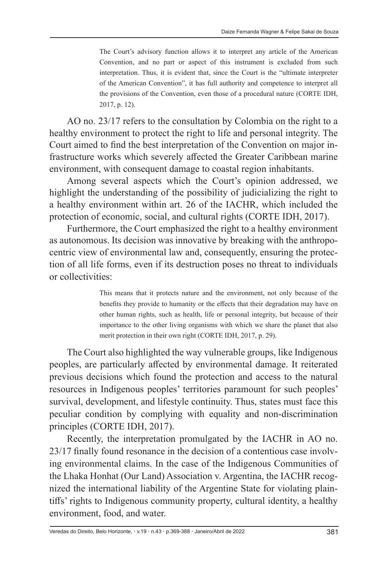The Court's advisory function allows it to interpret any article of the American Convention, and no part or aspect of this instrument is excluded from such interpretation. Thus, it is evident that, since the Court is the "ultimate interpreter of the American Convention", it has full authority and competence to interpret all the provisions of the Convention, even those of a procedural nature (CORTE IDH, 2017, p. 12).

AO no. 23/17 refers to the consultation by Colombia on the right to a healthy environment to protect the right to life and personal integrity. The Court aimed to find the best interpretation of the Convention on major infrastructure works which severely affected the Greater Caribbean marine environment, with consequent damage to coastal region inhabitants.

Among several aspects which the Court's opinion addressed, we highlight the understanding of the possibility of judicializing the right to a healthy environment within art. 26 of the IACHR, which included the protection of economic, social, and cultural rights (CORTE IDH, 2017).

Furthermore, the Court emphasized the right to a healthy environment as autonomous. Its decision was innovative by breaking with the anthropocentric view of environmental law and, consequently, ensuring the protection of all life forms, even if its destruction poses no threat to individuals or collectivities:

> This means that it protects nature and the environment, not only because of the benefits they provide to humanity or the effects that their degradation may have on other human rights, such as health, life or personal integrity, but because of their importance to the other living organisms with which we share the planet that also merit protection in their own right (CORTE IDH, 2017, p. 29).

The Court also highlighted the way vulnerable groups, like Indigenous peoples, are particularly affected by environmental damage. It reiterated previous decisions which found the protection and access to the natural resources in Indigenous peoples' territories paramount for such peoples' survival, development, and lifestyle continuity. Thus, states must face this peculiar condition by complying with equality and non-discrimination principles (CORTE IDH, 2017).

Recently, the interpretation promulgated by the IACHR in AO no. 23/17 finally found resonance in the decision of a contentious case involving environmental claims. In the case of the Indigenous Communities of the Lhaka Honhat (Our Land) Association v. Argentina, the IACHR recognized the international liability of the Argentine State for violating plaintiffs' rights to Indigenous community property, cultural identity, a healthy environment, food, and water.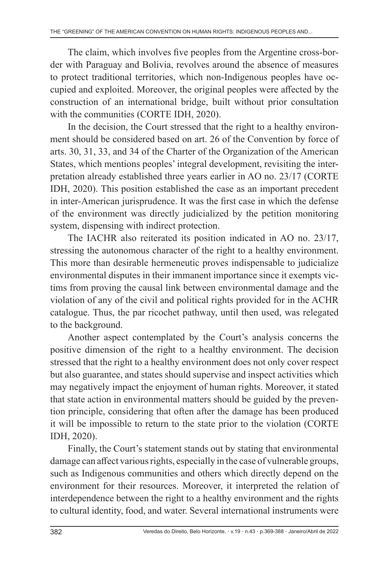The claim, which involves five peoples from the Argentine cross-border with Paraguay and Bolivia, revolves around the absence of measures to protect traditional territories, which non-Indigenous peoples have occupied and exploited. Moreover, the original peoples were affected by the construction of an international bridge, built without prior consultation with the communities (CORTE IDH, 2020).

In the decision, the Court stressed that the right to a healthy environment should be considered based on art. 26 of the Convention by force of arts. 30, 31, 33, and 34 of the Charter of the Organization of the American States, which mentions peoples' integral development, revisiting the interpretation already established three years earlier in AO no. 23/17 (CORTE IDH, 2020). This position established the case as an important precedent in inter-American jurisprudence. It was the first case in which the defense of the environment was directly judicialized by the petition monitoring system, dispensing with indirect protection.

The IACHR also reiterated its position indicated in AO no. 23/17, stressing the autonomous character of the right to a healthy environment. This more than desirable hermeneutic proves indispensable to judicialize environmental disputes in their immanent importance since it exempts victims from proving the causal link between environmental damage and the violation of any of the civil and political rights provided for in the ACHR catalogue. Thus, the par ricochet pathway, until then used, was relegated to the background.

Another aspect contemplated by the Court's analysis concerns the positive dimension of the right to a healthy environment. The decision stressed that the right to a healthy environment does not only cover respect but also guarantee, and states should supervise and inspect activities which may negatively impact the enjoyment of human rights. Moreover, it stated that state action in environmental matters should be guided by the prevention principle, considering that often after the damage has been produced it will be impossible to return to the state prior to the violation (CORTE IDH, 2020).

Finally, the Court's statement stands out by stating that environmental damage can affect various rights, especially in the case of vulnerable groups, such as Indigenous communities and others which directly depend on the environment for their resources. Moreover, it interpreted the relation of interdependence between the right to a healthy environment and the rights to cultural identity, food, and water. Several international instruments were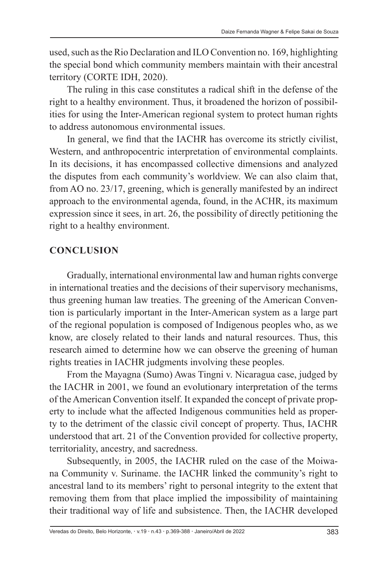used, such as the Rio Declaration and ILO Convention no. 169, highlighting the special bond which community members maintain with their ancestral territory (CORTE IDH, 2020).

The ruling in this case constitutes a radical shift in the defense of the right to a healthy environment. Thus, it broadened the horizon of possibilities for using the Inter-American regional system to protect human rights to address autonomous environmental issues.

In general, we find that the IACHR has overcome its strictly civilist, Western, and anthropocentric interpretation of environmental complaints. In its decisions, it has encompassed collective dimensions and analyzed the disputes from each community's worldview. We can also claim that, from AO no. 23/17, greening, which is generally manifested by an indirect approach to the environmental agenda, found, in the ACHR, its maximum expression since it sees, in art. 26, the possibility of directly petitioning the right to a healthy environment.

### **CONCLUSION**

Gradually, international environmental law and human rights converge in international treaties and the decisions of their supervisory mechanisms, thus greening human law treaties. The greening of the American Convention is particularly important in the Inter-American system as a large part of the regional population is composed of Indigenous peoples who, as we know, are closely related to their lands and natural resources. Thus, this research aimed to determine how we can observe the greening of human rights treaties in IACHR judgments involving these peoples.

From the Mayagna (Sumo) Awas Tingni v. Nicaragua case, judged by the IACHR in 2001, we found an evolutionary interpretation of the terms of the American Convention itself. It expanded the concept of private property to include what the affected Indigenous communities held as property to the detriment of the classic civil concept of property. Thus, IACHR understood that art. 21 of the Convention provided for collective property, territoriality, ancestry, and sacredness.

Subsequently, in 2005, the IACHR ruled on the case of the Moiwana Community v. Suriname. the IACHR linked the community's right to ancestral land to its members' right to personal integrity to the extent that removing them from that place implied the impossibility of maintaining their traditional way of life and subsistence. Then, the IACHR developed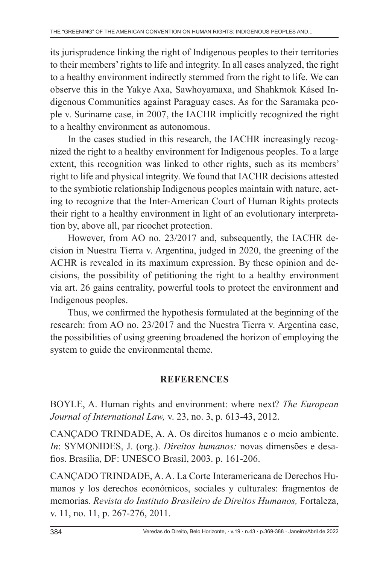its jurisprudence linking the right of Indigenous peoples to their territories to their members' rights to life and integrity. In all cases analyzed, the right to a healthy environment indirectly stemmed from the right to life. We can observe this in the Yakye Axa, Sawhoyamaxa, and Shahkmok Kásed Indigenous Communities against Paraguay cases. As for the Saramaka people v. Suriname case, in 2007, the IACHR implicitly recognized the right to a healthy environment as autonomous.

In the cases studied in this research, the IACHR increasingly recognized the right to a healthy environment for Indigenous peoples. To a large extent, this recognition was linked to other rights, such as its members' right to life and physical integrity. We found that IACHR decisions attested to the symbiotic relationship Indigenous peoples maintain with nature, acting to recognize that the Inter-American Court of Human Rights protects their right to a healthy environment in light of an evolutionary interpretation by, above all, par ricochet protection.

However, from AO no. 23/2017 and, subsequently, the IACHR decision in Nuestra Tierra v. Argentina, judged in 2020, the greening of the ACHR is revealed in its maximum expression. By these opinion and decisions, the possibility of petitioning the right to a healthy environment via art. 26 gains centrality, powerful tools to protect the environment and Indigenous peoples.

Thus, we confirmed the hypothesis formulated at the beginning of the research: from AO no. 23/2017 and the Nuestra Tierra v. Argentina case, the possibilities of using greening broadened the horizon of employing the system to guide the environmental theme.

### **REFERENCES**

BOYLE, A. Human rights and environment: where next? *The European Journal of International Law,* v. 23, no. 3, p. 613-43, 2012.

CANÇADO TRINDADE, A. A. Os direitos humanos e o meio ambiente. *In*: SYMONIDES, J. (org.). *Direitos humanos:* novas dimensões e desafios. Brasília, DF: UNESCO Brasil, 2003. p. 161-206.

CANÇADO TRINDADE, A. A. La Corte Interamericana de Derechos Humanos y los derechos económicos, sociales y culturales: fragmentos de memorias. *Revista do Instituto Brasileiro de Direitos Humanos,* Fortaleza, v. 11, no. 11, p. 267-276, 2011.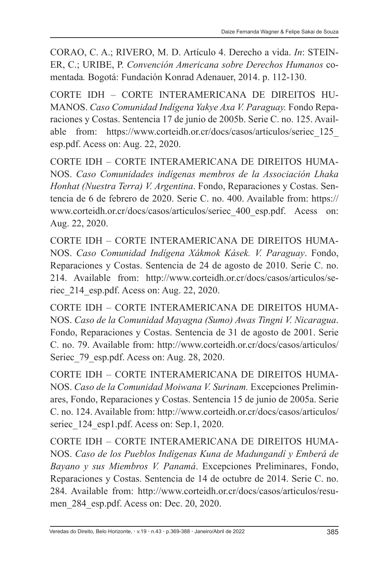CORAO, C. A.; RIVERO, M. D. Artículo 4. Derecho a vida. *In*: STEIN-ER, C.; URIBE, P. *Convención Americana sobre Derechos Humanos* comentada*.* Bogotá: Fundación Konrad Adenauer, 2014. p. 112-130.

CORTE IDH – CORTE INTERAMERICANA DE DIREITOS HU-MANOS. *Caso Comunidad Indígena Yakye Axa V. Paraguay.* Fondo Reparaciones y Costas. Sentencia 17 de junio de 2005b. Serie C. no. 125. Available from: https://www.corteidh.or.cr/docs/casos/articulos/seriec\_125\_ esp.pdf. Acess on: Aug. 22, 2020.

CORTE IDH – CORTE INTERAMERICANA DE DIREITOS HUMA-NOS. *Caso Comunidades indígenas membros de la Associación Lhaka Honhat (Nuestra Terra) V. Argentina*. Fondo, Reparaciones y Costas. Sentencia de 6 de febrero de 2020. Serie C. no. 400. Available from: https:// www.corteidh.or.cr/docs/casos/articulos/seriec\_400\_esp.pdf. Acess on: Aug. 22, 2020.

CORTE IDH – CORTE INTERAMERICANA DE DIREITOS HUMA-NOS. *Caso Comunidad Indígena Xákmok Kásek. V. Paraguay*. Fondo, Reparaciones y Costas. Sentencia de 24 de agosto de 2010. Serie C. no. 214. Available from: http://www.corteidh.or.cr/docs/casos/articulos/seriec\_214\_esp.pdf. Acess on: Aug. 22, 2020.

CORTE IDH – CORTE INTERAMERICANA DE DIREITOS HUMA-NOS. *Caso de la Comunidad Mayagna (Sumo) Awas Tingni V. Nicaragua*. Fondo, Reparaciones y Costas. Sentencia de 31 de agosto de 2001. Serie C. no. 79. Available from: http://www.corteidh.or.cr/docs/casos/articulos/ Seriec 79 esp.pdf. Acess on: Aug. 28, 2020.

CORTE IDH – CORTE INTERAMERICANA DE DIREITOS HUMA-NOS. *Caso de la Comunidad Moiwana V. Surinam.* Excepciones Preliminares, Fondo, Reparaciones y Costas. Sentencia 15 de junio de 2005a. Serie C. no. 124. Available from: http://www.corteidh.or.cr/docs/casos/articulos/ seriec 124 esp1.pdf. Acess on: Sep.1, 2020.

CORTE IDH – CORTE INTERAMERICANA DE DIREITOS HUMA-NOS. *Caso de los Pueblos Indígenas Kuna de Madungandí y Emberá de Bayano y sus Miembros V. Panamá*. Excepciones Preliminares, Fondo, Reparaciones y Costas. Sentencia de 14 de octubre de 2014. Serie C. no. 284. Available from: http://www.corteidh.or.cr/docs/casos/articulos/resumen\_284\_esp.pdf. Acess on: Dec. 20, 2020.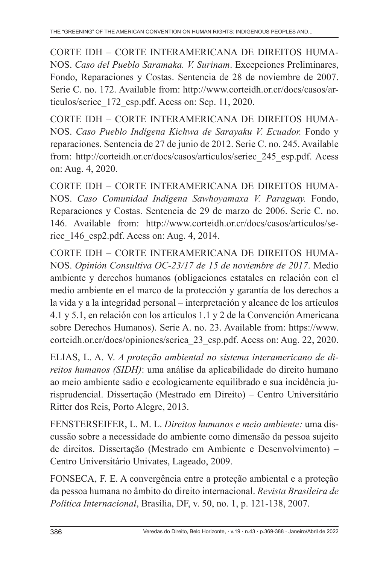CORTE IDH – CORTE INTERAMERICANA DE DIREITOS HUMA-NOS. *Caso del Pueblo Saramaka. V. Surinam*. Excepciones Preliminares, Fondo, Reparaciones y Costas. Sentencia de 28 de noviembre de 2007. Serie C. no. 172. Available from: http://www.corteidh.or.cr/docs/casos/articulos/seriec\_172\_esp.pdf. Acess on: Sep. 11, 2020.

CORTE IDH – CORTE INTERAMERICANA DE DIREITOS HUMA-NOS. *Caso Pueblo Indígena Kichwa de Sarayaku V. Ecuador.* Fondo y reparaciones. Sentencia de 27 de junio de 2012. Serie C. no. 245. Available from: http://corteidh.or.cr/docs/casos/articulos/seriec\_245\_esp.pdf. Acess on: Aug. 4, 2020.

CORTE IDH – CORTE INTERAMERICANA DE DIREITOS HUMA-NOS. *Caso Comunidad Indígena Sawhoyamaxa V. Paraguay.* Fondo, Reparaciones y Costas. Sentencia de 29 de marzo de 2006. Serie C. no. 146. Available from: http://www.corteidh.or.cr/docs/casos/articulos/seriec\_146\_esp2.pdf. Acess on: Aug. 4, 2014.

CORTE IDH – CORTE INTERAMERICANA DE DIREITOS HUMA-NOS. *Opinión Consultiva OC-23/17 de 15 de noviembre de 2017*. Medio ambiente y derechos humanos (obligaciones estatales en relación con el medio ambiente en el marco de la protección y garantía de los derechos a la vida y a la integridad personal – interpretación y alcance de los artículos 4.1 y 5.1, en relación con los artículos 1.1 y 2 de la Convención Americana sobre Derechos Humanos). Serie A. no. 23. Available from: https://www. corteidh.or.cr/docs/opiniones/seriea\_23\_esp.pdf. Acess on: Aug. 22, 2020.

ELIAS, L. A. V. *A proteção ambiental no sistema interamericano de direitos humanos (SIDH)*: uma análise da aplicabilidade do direito humano ao meio ambiente sadio e ecologicamente equilibrado e sua incidência jurisprudencial. Dissertação (Mestrado em Direito) – Centro Universitário Ritter dos Reis, Porto Alegre, 2013.

FENSTERSEIFER, L. M. L. *Direitos humanos e meio ambiente:* uma discussão sobre a necessidade do ambiente como dimensão da pessoa sujeito de direitos. Dissertação (Mestrado em Ambiente e Desenvolvimento) – Centro Universitário Univates, Lageado, 2009.

FONSECA, F. E. A convergência entre a proteção ambiental e a proteção da pessoa humana no âmbito do direito internacional. *Revista Brasileira de Política Internacional*, Brasília, DF, v. 50, no. 1, p. 121-138, 2007.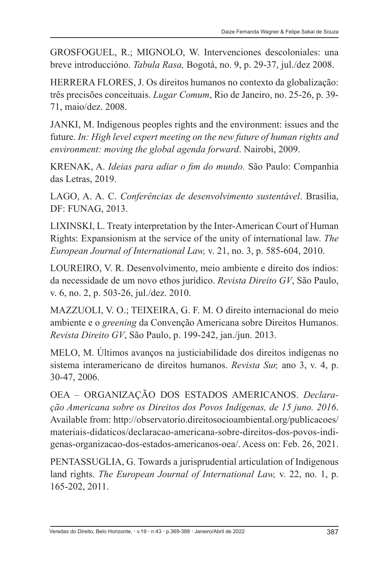GROSFOGUEL, R.; MIGNOLO, W. Intervenciones descoloniales: una breve introduccióno. *Tabula Rasa,* Bogotá, no. 9, p. 29-37, jul./dez 2008.

HERRERA FLORES, J. Os direitos humanos no contexto da globalização: três precisões conceituais. *Lugar Comum*, Rio de Janeiro, no. 25-26, p. 39- 71, maio/dez. 2008.

JANKI, M. Indigenous peoples rights and the environment: issues and the future. *In: High level expert meeting on the new future of human rights and environment: moving the global agenda forward*. Nairobi, 2009.

KRENAK, A. *Ideias para adiar o fim do mundo.* São Paulo: Companhia das Letras, 2019.

LAGO, A. A. C. *Conferências de desenvolvimento sustentável*. Brasília, DF: FUNAG, 2013.

LIXINSKI, L. Treaty interpretation by the Inter-American Court of Human Rights: Expansionism at the service of the unity of international law. *The European Journal of International Law,* v. 21, no. 3, p. 585-604, 2010.

LOUREIRO, V. R. Desenvolvimento, meio ambiente e direito dos índios: da necessidade de um novo ethos jurídico. *Revista Direito GV*, São Paulo, v. 6, no. 2, p. 503-26, jul./dez. 2010.

MAZZUOLI, V. O.; TEIXEIRA, G. F. M. O direito internacional do meio ambiente e o *greening* da Convenção Americana sobre Direitos Humanos. *Revista Direito GV*, São Paulo, p. 199-242, jan./jun. 2013.

MELO, M. Últimos avanços na justiciabilidade dos direitos indígenas no sistema interamericano de direitos humanos. *Revista Sur,* ano 3, v. 4, p. 30-47, 2006.

OEA – ORGANIZAÇÃO DOS ESTADOS AMERICANOS. *Declaração Americana sobre os Direitos dos Povos Indígenas, de 15 juno. 2016*. Available from: http://observatorio.direitosocioambiental.org/publicacoes/ materiais-didaticos/declaracao-americana-sobre-direitos-dos-povos-indigenas-organizacao-dos-estados-americanos-oea/. Acess on: Feb. 26, 2021.

PENTASSUGLIA, G. Towards a jurisprudential articulation of Indigenous land rights. *The European Journal of International Law,* v. 22, no. 1, p. 165-202, 2011.